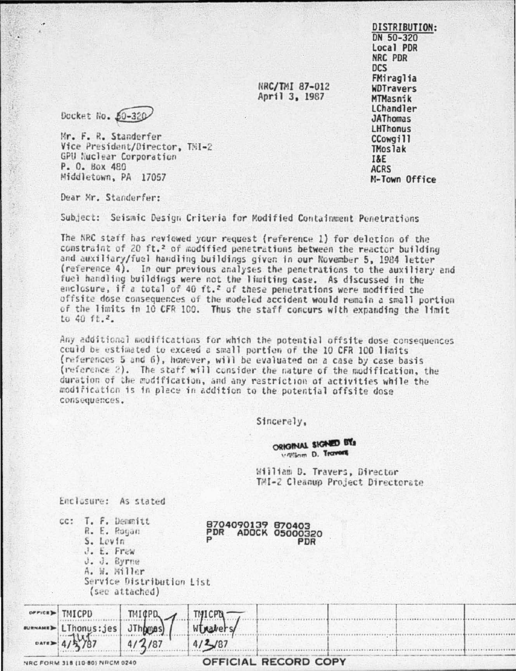**DISTRIBUTION:** DN 50-320 Local PDR NRC PDR **DCS** FMiraglia **WDTravers** MTMasnik **LChandler JAThomas LHThonus** CCowail1 **TMoslak I&E ACRS** M-Town Office

NRC/TMI 87-012 April 3, 1987

Docket No. 50-320

Mr. F. R. Standerfer Vice President/Director. TMI-2 GPU Nuclear Corporation P. O. Box 480 Middletown, PA 17057

Dear Mr. Standerfer:

新 五 まった

Subject: Seismic Design Criteria for Modified Containment Penetrations

The NRC staff has reviewed your request (reference 1) for deletion of the constraint of 20 ft.<sup>2</sup> of modified penetrations between the reactor building and auxiliary/fuel handling buildings given in our November 5, 1984 letter (reference 4). In our previous analyses the penetrations to the auxiliary and fuel handling buildings were not the limiting case. As discussed in the enclosure, if a total of 40 ft.<sup>2</sup> of these penetrations were modified the offsite dose consequences of the modeled accident would remain a small portion of the limits in 10 CFR 100. Thus the staff concurs with expanding the limit to 40 ft.2.

Any additional modifications for which the potential offsite dose consequences could be estimated to exceed a small portion of the 10 CFR 100 limits (references 5 and 6), however, will be evaluated on a case by case basis (reference 2). The staff will consider the nature of the modification, the duration of the modification, and any restriction of activities while the modification is in place in addition to the potential offsite dose consequences.

Sincerely,

ORIGINAL SIGNED BY villiam D. Travers

PDR

William D. Travers, Director TMI-2 Cleanup Project Directorate

Enclosure: As stated

CC

|  | T. F. Demmitt |  |                     |  |
|--|---------------|--|---------------------|--|
|  | R. E. Rogan   |  |                     |  |
|  | S. Levin      |  |                     |  |
|  | J. E. Frew    |  |                     |  |
|  | J. J. Byrne   |  |                     |  |
|  | A. W. Miller  |  |                     |  |
|  |               |  | Service Distributio |  |
|  |               |  |                     |  |

on List (see attached)

|                                                        | $o$ <i>PPick</i> $\blacktriangleright$ TMICPD | $T^{11}$ $F^{11}$ | THICPN-                       |  |  |  |  |  |
|--------------------------------------------------------|-----------------------------------------------|-------------------|-------------------------------|--|--|--|--|--|
|                                                        |                                               |                   | LThonus: jes JThomas) Whaters |  |  |  |  |  |
|                                                        | $0ATE = 4/5/87$                               | 14/2/87           | 4/2/87                        |  |  |  |  |  |
| OFFICIAL RECORD COPY<br>NDC FOUM 318 (10-80) NDCM 0240 |                                               |                   |                               |  |  |  |  |  |

8704090139 870403<br>PDR ADOCK 05000320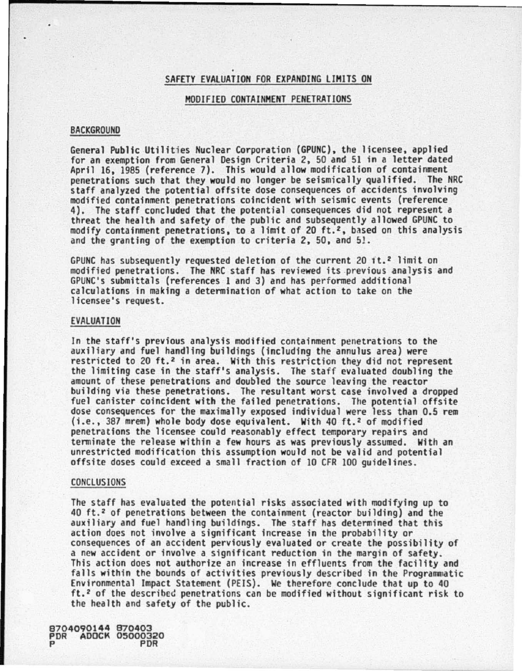### SAFETY EVALUATION FOR EXPANDING LIMITS ON

### MODIFIED CONTAINMENT PENETRATIONS

#### BACKGROUND

General Public Utilities Nuclear Corporation (GPUNC), the licensee, applied for an exemption from General Design Criteria *2.* SO and 51 in a letter dated April 16, 1985 (reference 7). This would allow modification of containment penetrations such that they would no longer be seismically qualified. The NRC<br>staff analyzed the potential offsite dose consequences of accidents involving modified containment penetrations coincident with seismic events (reference 4). The staff concluded that the potential consequences did not represent a threat the health and safety of the public and subsequently allowed GPUNC to modify containment penetrations. to a limit of 20 ft. <sup>2</sup> , based on this analysis and the granting of the exemption to criteria *2,* SO, and 51.

GPUNC has subsequently requested deletion of the current 20 it.<sup>2</sup> limit on modified penetrations. The NRC staff has reviewed its previous analysis and GPUNC's submittals (references 1 and 3) and has performed additional calculations in making a determination of what action to take on the licensee's request.

## EVAlUATION

In the staff's previous analysis modified containment penetrations to the auxiliary and fuel handling buildings (including the annulus area) were restricted to 20 ft.<sup>2</sup> in area. With this restriction they did not represent the limiting case in the staff's analysis. The staff evaluated doubling the amount of these penetrations and doubled the source leaving the reactor building via these penetrations. The resultant worst case involved a dropped fuel canister coincident with the failed penetrations. The potential offsite dose consequences for the maximally exposed individual were less than 0.5 rem (i.e., 387 mrem) whole body dose equivalent. With 40 ft.<sup>2</sup> of modified penetrations the licensee could reasonably effect temporary repairs and terminate the release within a few hours as was previously assumed. With an unrestricted modification this assumption would not be valid and potential offsite doses could exceed a small fraction of 10 CFR 100 guidelines.

#### CONCLUSIONS

The staff has evaluated the potential risks associated with modifying up to 40 ft. 2 of penetrations between the containment (reactor building) and the auxiliary and fuel handling buildings. The staff has determined that this action does not involve a significant increase in the probability or consequences of an accident perviously evaluated or create the possibility of This action does not authorize an increase in effluents from the facility and falls within the bounds of activities previously described in the Programmatic Environmental Impact Statement (PElS). We therefore conclude that up to 40 ft. 2 of the described penetrations can be modified without significant risk to the health and safety of the public.

8704090144 870403 PDR ADOCK 05000320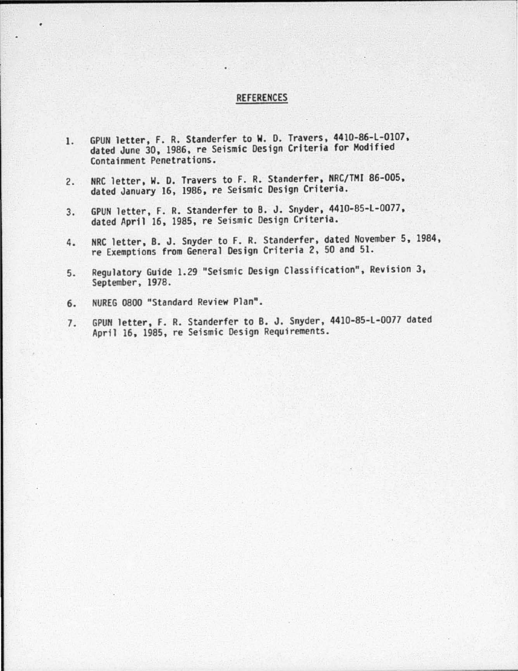# REFERENCES

- 1. GPUN letter, F. R. Standerfer to W. D. Travers, 4410-86-L-0107, dated June 30, 1986, re Seismic Design Criteria for Modified Containment Penetrations.
- 2. NRC letter, W. D. Travers to f. R. Standerfer, NRC/TMI 86-005, dated January 16, 1986, re Seismic Design Criteria.
- 3. GPUN letter, F. R. Standerfer to 8. J. Snyder, 4410-85-L-0077, dated April 16, 1985, re Seismic Design Criteria.
- 4. NRC letter, 8. J. Snyder to f. R. Standerfer, dated November 5, 1984, re Exemptions from General Design Criteria 2, 50 and 51.
- 5. Regulatory Guide 1.29 "Seismic Design Classification", Revision 3, September, 1978.
- 6. NUREG 0800 "Standard Review Plan".
- 7. GPUN letter. F. R. Standerfer to B. J. Snyder, 4410-85-l-0077 dated April 16, 1985, re Seismic Design Requirements.